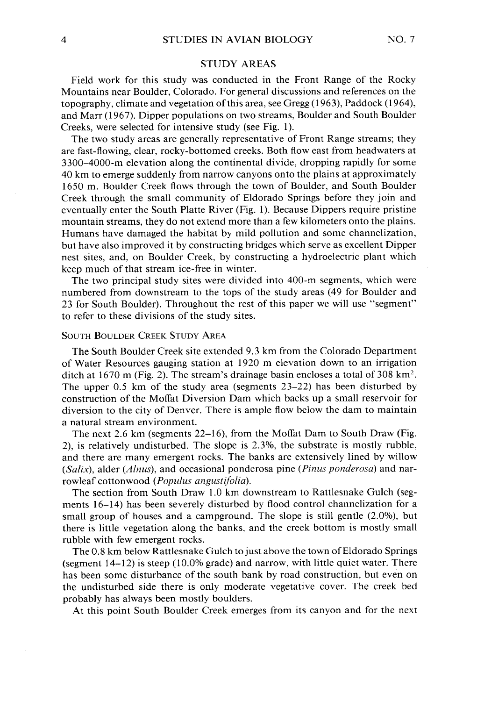## **STUDY AREAS**

**Field work for this study was conducted in the Front Range of the Rocky Mountains near Boulder, Colorado. For general discussions and references on the topography, climate and vegetation ofthis area, see Gregg (1963), Paddock (1964), and Marr (1967). Dipper populations on two streams, Boulder and South Boulder Creeks, were selected for intensive study (see Fig. 1).** 

**The two study areas are generally representative of Front Range streams; they are fast-flowing, clear, rocky-bottomed creeks. Both flow east from headwaters at 3300-4000-m elevation along the continental divide, dropping rapidly for some 40 km to emerge suddenly from narrow canyons onto the plains at approximately 1650 m. Boulder Creek flows through the town of Boulder, and South Boulder Creek through the small community of Eldorado Springs before they join and eventually enter the South Platte River (Fig. 1). Because Dippers require pristine mountain streams, they do not extend more than a few kilometers onto the plains. Humans have damaged the habitat by mild pollution and some channelization, but have also improved it by constructing bridges which serve as excellent Dipper nest sites, and, on Boulder Creek, by constructing a hydroelectric plant which keep much of that stream ice-free in winter.** 

**The two principal study sites were divided into 400-m segments, which were numbered from downstream to the tops of the study areas (49 for Boulder and 23 for South Boulder). Throughout the rest of this paper we will use "segment" to refer to these divisions of the study sites.** 

#### **SOUTH BOULDER CREEK STUDY AREA**

**The South Boulder Creek site extended 9.3 km from the Colorado Department of Water Resources gauging station at 1920 m elevation down to an irrigation ditch at 1670 m (Fig. 2). The stream's drainage basin encloses a total of 308 km2. The upper 0.5 km of the study area (segments 23-22) has been disturbed by construction of the Moffat Diversion Dam which backs up a small reservoir for diversion to the city of Denver. There is ample flow below the dam to maintain a natural stream environment.** 

**The next 2.6 km (segments 22-16), from the Moffat Dam to South Draw (Fig. 2), is relatively undisturbed. The slope is 2.3%, the substrate is mostly rubble, and there are many emergent rocks. The banks are extensively lined by willow**  (Salix), alder (Alnus), and occasional ponderosa pine (Pinus ponderosa) and nar**rowleaf cottonwood (Populus angustifolia).** 

**The section from South Draw 1.0 km downstream to Rattlesnake Gulch (segments 16-l 4) has been severely disturbed by flood control channelization for a small group of houses and a campground. The slope is still gentle (2.0%), but there is little vegetation along the banks, and the creek bottom is mostly small rubble with few emergent rocks.** 

**The 0.8 km below Rattlesnake Gulch to just above the town of Eldorado Springs (segment 14-l 2) is steep (10.0% grade) and narrow, with little quiet water. There has been some disturbance of the south bank by road construction, but even on the undisturbed side there is only moderate vegetative cover. The creek bed probably has always been mostly boulders.** 

**At this point South Boulder Creek emerges from its canyon and for the next**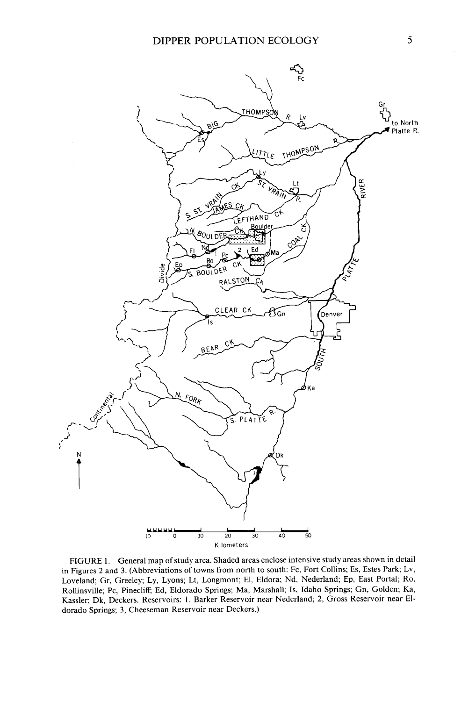

**FIGURE 1. General map of study area. Shaded areas enclose intensive study areas shown in detail in Figures 2 and 3. (Abbreviations of towns from north to south: Fc, Fort Collins; Es, Estes Park; Lv, Loveland; Gr, Greeley; Ly, Lyons; Lt, Longmont; El, Eldora; Nd, Nederland; Ep, East Portal; Ro, Rollinsville; PC, Pinecliff; Ed, Eldorado Springs; Ma, Marshall; Is, Idaho Springs; Gn, Golden; Ka, Kassler; Dk, Deckers. Reservoirs: 1, Barker Reservoir near Nederland; 2, Gross Reservoir near Eldorado Springs; 3, Cheeseman Reservoir near Deckers.)**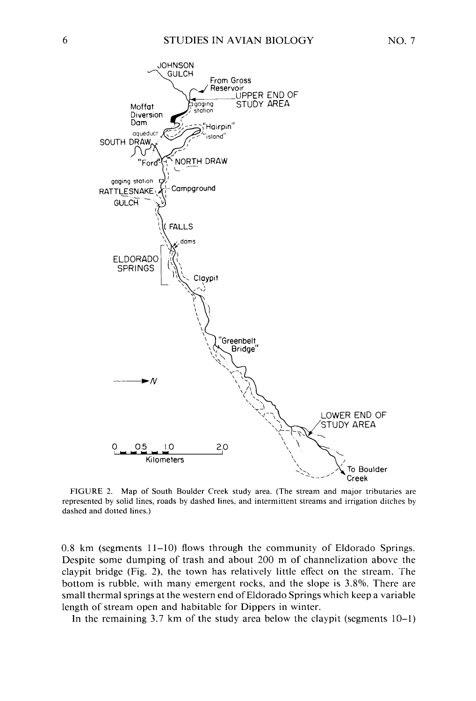

**FIGURE 2. Map of South Boulder Creek study area. (The stream and major tributaries are represented by solid lines, roads by dashed lines, and intermittent streams and irrigation ditches by dashed and dotted lines.)** 

**0.8 km (segments 1 l-10) flows through the community of Eldorado Springs. Despite some dumping of trash and about 200 m of channelization above the claypit bridge (Fig. 2) the town has relatively little effect on the stream. The bottom is rubble, with many emergent rocks, and the slope is 3.8%. There are small thermal springs at the western end of Eldorado Springs which keep a variable length of stream open and habitable for Dippers in winter.** 

**In the remaining 3.7 km of the study area below the claypit (segments 10-l)**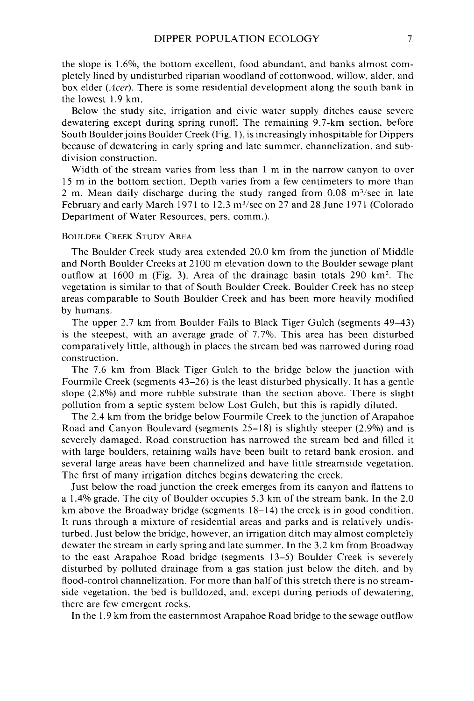**the slope is 1.6%, the bottom excellent. food abundant, and banks almost completely lined by undisturbed riparian woodland of cottonwood. willow, alder, and box elder (Acer). There is some residential development along the south bank in the lowest 1.9 km.** 

**Below the study site, irrigation and civic water supply ditches cause severe dewatering except during spring runoff. The remaining 9.7-km section. before South Boulderjoins Boulder Creek (Fig. 1), is increasingly inhospitable for Dippers because of dewatering in early spring and late summer, channelization, and subdivision construction.** 

**Width of the stream varies from less than 1 m in the narrow canyon to over 15 m in the bottom section. Depth varies from a few centimeters to more than 2 m. Mean daily discharge during the study ranged from 0.08 m3/sec in late February and early March 197 1 to 12.3 m3/sec on 27 and 28 June 197 1 (Colorado Department of Water Resources, pers. comm.).** 

## **BOULDER CREEK STUDY AREA**

**The Boulder Creek study area extended 20.0 km from the junction of Middle and North Boulder Creeks at 2 100 m elevation down to the Boulder sewage plant outflow at 1600 m (Fig. 3). Area of the drainage basin totals 290 km'. The vegetation is similar to that of South Boulder Creek. Boulder Creek has no steep areas comparable to South Boulder Creek and has been more heavily modified by humans.** 

**The upper 2.7 km from Boulder Falls to Black Tiger Gulch (segments 49-43) is the steepest, with an average grade of 7.7%. This area has been disturbed comparatively little, although in places the stream bed was narrowed during road construction.** 

**The 7.6 km from Black Tiger Gulch to the bridge below the junction with Fourmile Creek (segments 43-26) is the least disturbed physically. It has a gentle slope (2.8%) and more rubble substrate than the section above. There is slight pollution from a septic system below Lost Gulch, but this is rapidly diluted.** 

**The 2.4 km from the bridge below Fourmile Creek to the junction of Arapahoe Road and Canyon Boulevard (segments 25-18) is slightly steeper (2.9%) and is severely damaged. Road construction has narrowed the stream bed and filled it with large boulders, retaining walls have been built to retard bank erosion, and several large areas have been channelized and have little streamside vegetation. The first of many irrigation ditches begins dewatering the creek.** 

**Just below the road junction the creek emerges from its canyon and flattens to a 1.4% grade. The city of Boulder occupies 5.3 km of the stream bank. In the 2.0 km above the Broadway bridge (segments 18-l 4) the creek is in good condition. It runs through a mixture of residential areas and parks and is relatively undisturbed. Just below the bridge, however, an irrigation ditch may almost completely dewater the stream in early spring and late summer. In the 3.2 km from Broadway to the east Arapahoe Road bridge (segments 13-5) Boulder Creek is severely disturbed by polluted drainage from a gas station just below the ditch, and by flood-control channelization. For more than half of this stretch there is no streamside vegetation, the bed is bulldozed, and, except during periods of dewatering, there are few emergent rocks.** 

**In the 1.9 km from the easternmost Arapahoe Road bridge to the sewage outflow**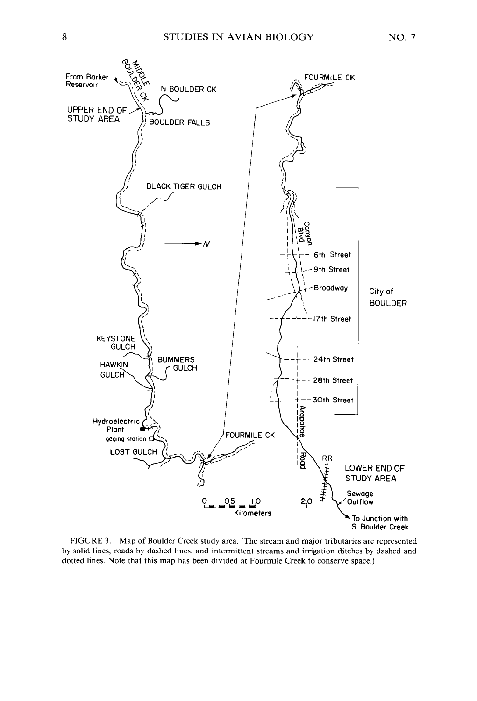

**FIGURE 3. Map of Boulder Creek study area. (The stream and major tributaries are represented by solid lines, roads by dashed lines, and intermittent streams and irrigation ditches by dashed and dotted lines. Note that this map has been divided at Fourmile Creek to conserve space.)**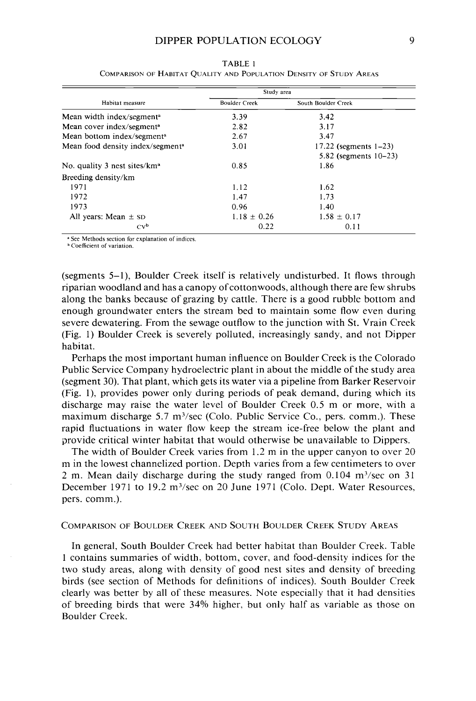| Habitat measure                              | Study area           |                          |
|----------------------------------------------|----------------------|--------------------------|
|                                              | <b>Boulder Creek</b> | South Boulder Creek      |
| Mean width index/segment <sup>a</sup>        | 3.39                 | 3.42                     |
| Mean cover index/segment <sup>a</sup>        | 2.82                 | 3.17                     |
| Mean bottom index/segment <sup>a</sup>       | 2.67                 | 3.47                     |
| Mean food density index/segment <sup>a</sup> | 3.01                 | 17.22 (segments $1-23$ ) |
|                                              |                      | 5.82 (segments $10-23$ ) |
| No. quality 3 nest sites/ $kma$              | 0.85                 | 1.86                     |
| Breeding density/km                          |                      |                          |
| 1971                                         | 1.12                 | 1.62                     |
| 1972                                         | 1.47                 | 1.73                     |
| 1973                                         | 0.96                 | 1.40                     |
| All years: Mean $\pm$ sp                     | $1.18 \pm 0.26$      | $1.58 \pm 0.17$          |
| $Cv^b$                                       | 0.22                 | 0.11                     |

**TABLE 1 COMPARISON OF HABITAT QUALITY AND POPULATION DENSITY OF STUDY AREAS** 

**a See Methods section for explanation of indlces.** 

**Coefficient of variation.** 

**(segments 5-l), Boulder Creek itself is relatively undisturbed. It flows through riparian woodland and has a canopy of cottonwoods, although there are few shrubs along the banks because of grazing by cattle. There is a good rubble bottom and enough groundwater enters the stream bed to maintain some flow even during severe dewatering. From the sewage outflow to the junction with St. Vrain Creek (Fig. 1) Boulder Creek is severely polluted, increasingly sandy, and not Dipper habitat.** 

**Perhaps the most important human influence on Boulder Creek is the Colorado Public Service Company hydroelectric plant in about the middle of the study area (segment 30). That plant, which gets its water via a pipeline from Barker Reservoir (Fig. l), provides power only during periods of peak demand, during which its discharge may raise the water level of Boulder Creek 0.5 m or more, with a maximum discharge 5.7 m3/sec (Colo. Public Service Co., pers. comm.). These rapid fluctuations in water flow keep the stream ice-free below the plant and provide critical winter habitat that would otherwise be unavailable to Dippers.** 

**The width of Boulder Creek varies from 1.2 m in the upper canyon to over 20 m in the lowest channelized portion. Depth varies from a few centimeters to over 2 m. Mean daily discharge during the study ranged from 0.104 m'/sec on 3 1**  December 1971 to 19.2 m<sup>3</sup>/sec on 20 June 1971 (Colo. Dept. Water Resources, **pers. comm.).** 

### **COMPARISON OF BOULDER CREEK AND SOUTH BOULDER CREEK STUDY AREAS**

**In general, South Boulder Creek had better habitat than Boulder Creek. Table 1 contains summaries of width, bottom, cover, and food-density indices for the two study areas, along with density of good nest sites and density of breeding birds (see section of Methods for definitions of indices). South Boulder Creek clearly was better by all of these measures. Note especially that it had densities of breeding birds that were 34% higher, but only half as variable as those on Boulder Creek.**